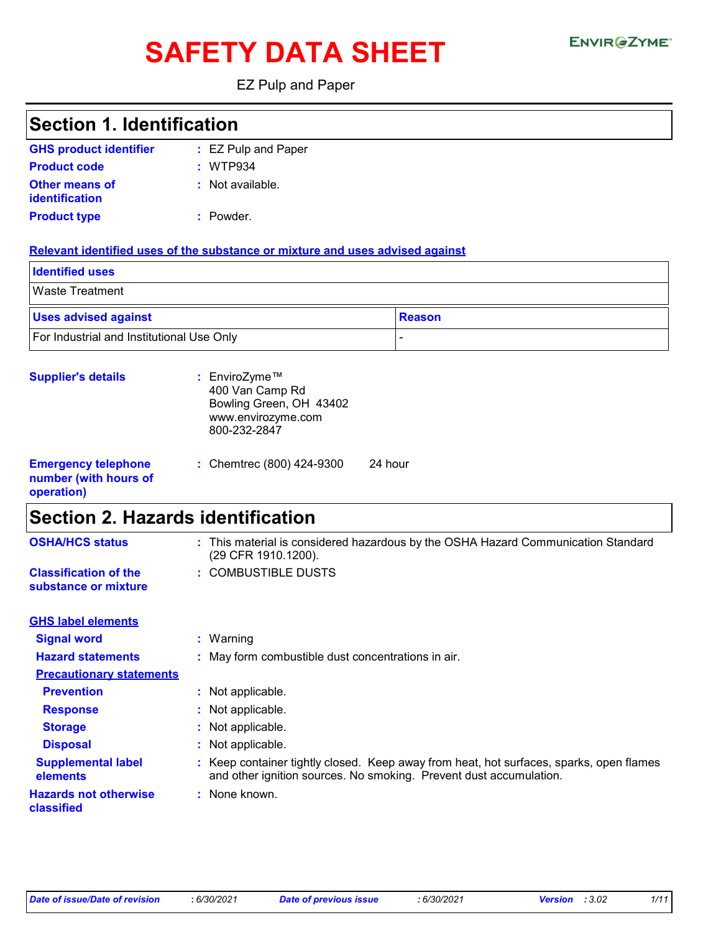# SAFETY DATA SHEET ENVIRGETMEN

EZ Pulp and Paper

| <b>Section 1. Identification</b>                                  |                                                                                                                                                               |
|-------------------------------------------------------------------|---------------------------------------------------------------------------------------------------------------------------------------------------------------|
| <b>GHS product identifier</b>                                     | : EZ Pulp and Paper                                                                                                                                           |
| <b>Product code</b>                                               | : WTP934                                                                                                                                                      |
| <b>Other means of</b><br>identification                           | : Not available.                                                                                                                                              |
| <b>Product type</b>                                               | : Powder.                                                                                                                                                     |
|                                                                   | Relevant identified uses of the substance or mixture and uses advised against                                                                                 |
| <b>Identified uses</b>                                            |                                                                                                                                                               |
| <b>Waste Treatment</b>                                            |                                                                                                                                                               |
| <b>Uses advised against</b>                                       | <b>Reason</b>                                                                                                                                                 |
| For Industrial and Institutional Use Only                         | $\overline{a}$                                                                                                                                                |
| <b>Supplier's details</b>                                         | : EnviroZyme™<br>400 Van Camp Rd<br>Bowling Green, OH 43402<br>www.envirozyme.com<br>800-232-2847                                                             |
| <b>Emergency telephone</b><br>number (with hours of<br>operation) | : Chemtrec (800) 424-9300<br>24 hour                                                                                                                          |
| <b>Section 2. Hazards identification</b>                          |                                                                                                                                                               |
| <b>OSHA/HCS status</b>                                            | : This material is considered hazardous by the OSHA Hazard Communication Standard<br>(29 CFR 1910.1200).                                                      |
| <b>Classification of the</b><br>substance or mixture              | : COMBUSTIBLE DUSTS                                                                                                                                           |
| <b>GHS label elements</b>                                         |                                                                                                                                                               |
| <b>Signal word</b>                                                | : Warning                                                                                                                                                     |
| <b>Hazard statements</b>                                          | : May form combustible dust concentrations in air.                                                                                                            |
| <b>Precautionary statements</b>                                   |                                                                                                                                                               |
| <b>Prevention</b>                                                 | : Not applicable.                                                                                                                                             |
| <b>Response</b>                                                   | Not applicable.                                                                                                                                               |
| <b>Storage</b>                                                    | Not applicable.                                                                                                                                               |
| <b>Disposal</b>                                                   | Not applicable.                                                                                                                                               |
| <b>Supplemental label</b><br>elements                             | : Keep container tightly closed. Keep away from heat, hot surfaces, sparks, open flames<br>and other ignition sources. No smoking. Prevent dust accumulation. |
| <b>Hazards not otherwise</b><br>classified                        | : None known.                                                                                                                                                 |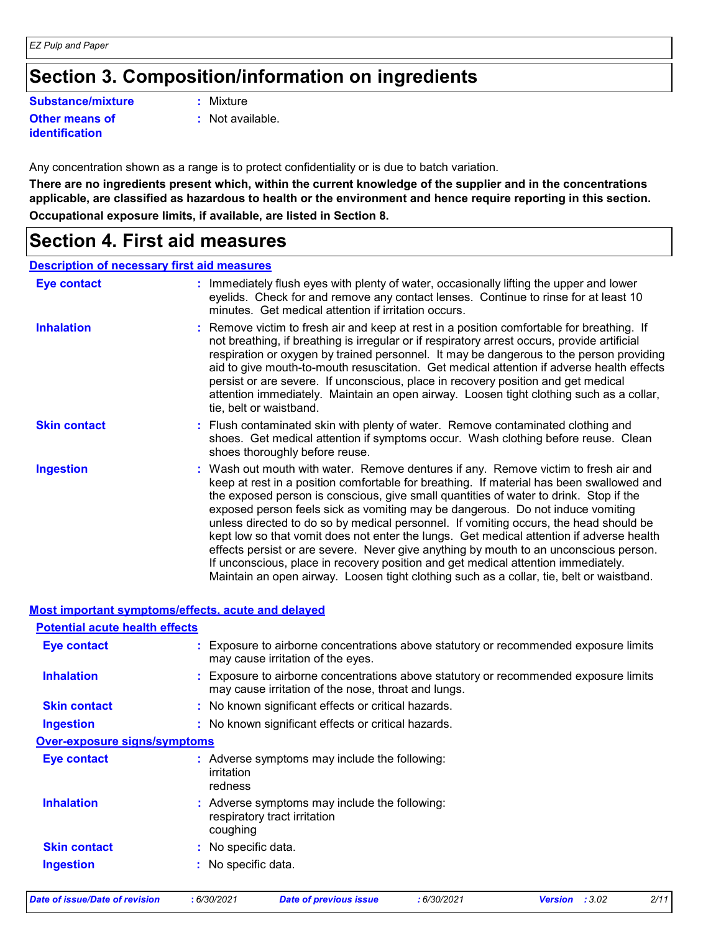### **Section 3. Composition/information on ingredients**

**Substance/mixture :**

**Other means of identification**

- : Mixture
- **:** Not available.

Any concentration shown as a range is to protect confidentiality or is due to batch variation.

**There are no ingredients present which, within the current knowledge of the supplier and in the concentrations applicable, are classified as hazardous to health or the environment and hence require reporting in this section. Occupational exposure limits, if available, are listed in Section 8.**

### **Section 4. First aid measures**

#### **Description of necessary first aid measures**

| <b>Eye contact</b>  | : Immediately flush eyes with plenty of water, occasionally lifting the upper and lower<br>eyelids. Check for and remove any contact lenses. Continue to rinse for at least 10<br>minutes. Get medical attention if irritation occurs.                                                                                                                                                                                                                                                                                                                                                                                                                                                                                                                                                                                    |
|---------------------|---------------------------------------------------------------------------------------------------------------------------------------------------------------------------------------------------------------------------------------------------------------------------------------------------------------------------------------------------------------------------------------------------------------------------------------------------------------------------------------------------------------------------------------------------------------------------------------------------------------------------------------------------------------------------------------------------------------------------------------------------------------------------------------------------------------------------|
| <b>Inhalation</b>   | : Remove victim to fresh air and keep at rest in a position comfortable for breathing. If<br>not breathing, if breathing is irregular or if respiratory arrest occurs, provide artificial<br>respiration or oxygen by trained personnel. It may be dangerous to the person providing<br>aid to give mouth-to-mouth resuscitation. Get medical attention if adverse health effects<br>persist or are severe. If unconscious, place in recovery position and get medical<br>attention immediately. Maintain an open airway. Loosen tight clothing such as a collar,<br>tie, belt or waistband.                                                                                                                                                                                                                              |
| <b>Skin contact</b> | : Flush contaminated skin with plenty of water. Remove contaminated clothing and<br>shoes. Get medical attention if symptoms occur. Wash clothing before reuse. Clean<br>shoes thoroughly before reuse.                                                                                                                                                                                                                                                                                                                                                                                                                                                                                                                                                                                                                   |
| <b>Ingestion</b>    | : Wash out mouth with water. Remove dentures if any. Remove victim to fresh air and<br>keep at rest in a position comfortable for breathing. If material has been swallowed and<br>the exposed person is conscious, give small quantities of water to drink. Stop if the<br>exposed person feels sick as vomiting may be dangerous. Do not induce vomiting<br>unless directed to do so by medical personnel. If vomiting occurs, the head should be<br>kept low so that vomit does not enter the lungs. Get medical attention if adverse health<br>effects persist or are severe. Never give anything by mouth to an unconscious person.<br>If unconscious, place in recovery position and get medical attention immediately.<br>Maintain an open airway. Loosen tight clothing such as a collar, tie, belt or waistband. |

#### **Most important symptoms/effects, acute and delayed**

| <b>Potential acute health effects</b> |                                                                                                                                             |
|---------------------------------------|---------------------------------------------------------------------------------------------------------------------------------------------|
| <b>Eye contact</b>                    | : Exposure to airborne concentrations above statutory or recommended exposure limits<br>may cause irritation of the eyes.                   |
| <b>Inhalation</b>                     | : Exposure to airborne concentrations above statutory or recommended exposure limits<br>may cause irritation of the nose, throat and lungs. |
| <b>Skin contact</b>                   | : No known significant effects or critical hazards.                                                                                         |
| Ingestion                             | : No known significant effects or critical hazards.                                                                                         |
| <b>Over-exposure signs/symptoms</b>   |                                                                                                                                             |
| <b>Eye contact</b>                    | : Adverse symptoms may include the following:<br>irritation<br>redness                                                                      |
| <b>Inhalation</b>                     | : Adverse symptoms may include the following:<br>respiratory tract irritation<br>coughing                                                   |
| <b>Skin contact</b>                   | : No specific data.                                                                                                                         |
| <b>Ingestion</b>                      | : No specific data.                                                                                                                         |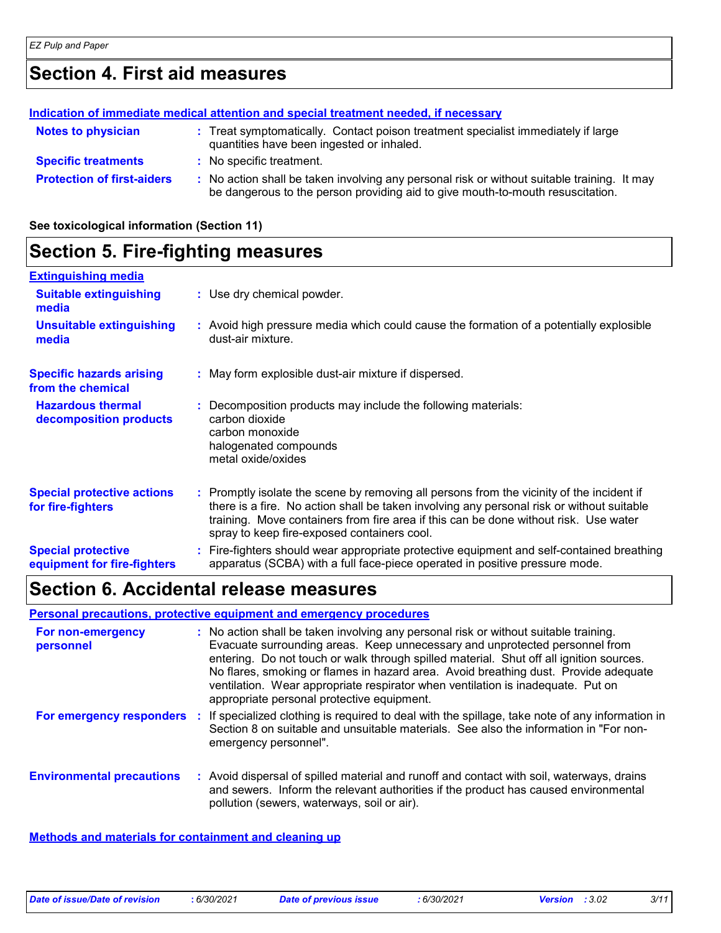## **Section 4. First aid measures**

#### **Protection of first-aiders** : No action shall be taken involving any personal risk or without suitable training. It may be dangerous to the person providing aid to give mouth-to-mouth resuscitation. **Notes to physician <b>:** Treat symptomatically. Contact poison treatment specialist immediately if large quantities have been ingested or inhaled. **Specific treatments :** No specific treatment. **Indication of immediate medical attention and special treatment needed, if necessary**

**See toxicological information (Section 11)**

# **Section 5. Fire-fighting measures**

| <b>Extinguishing media</b>                               |                                                                                                                                                                                                                                                                                                                               |
|----------------------------------------------------------|-------------------------------------------------------------------------------------------------------------------------------------------------------------------------------------------------------------------------------------------------------------------------------------------------------------------------------|
| <b>Suitable extinguishing</b><br>media                   | : Use dry chemical powder.                                                                                                                                                                                                                                                                                                    |
| <b>Unsuitable extinguishing</b><br>media                 | : Avoid high pressure media which could cause the formation of a potentially explosible<br>dust-air mixture.                                                                                                                                                                                                                  |
| <b>Specific hazards arising</b><br>from the chemical     | : May form explosible dust-air mixture if dispersed.                                                                                                                                                                                                                                                                          |
| <b>Hazardous thermal</b><br>decomposition products       | Decomposition products may include the following materials:<br>carbon dioxide<br>carbon monoxide<br>halogenated compounds<br>metal oxide/oxides                                                                                                                                                                               |
| <b>Special protective actions</b><br>for fire-fighters   | : Promptly isolate the scene by removing all persons from the vicinity of the incident if<br>there is a fire. No action shall be taken involving any personal risk or without suitable<br>training. Move containers from fire area if this can be done without risk. Use water<br>spray to keep fire-exposed containers cool. |
| <b>Special protective</b><br>equipment for fire-fighters | Fire-fighters should wear appropriate protective equipment and self-contained breathing<br>apparatus (SCBA) with a full face-piece operated in positive pressure mode.                                                                                                                                                        |

### **Section 6. Accidental release measures**

#### **Personal precautions, protective equipment and emergency procedures**

| For non-emergency<br>personnel   | : No action shall be taken involving any personal risk or without suitable training.<br>Evacuate surrounding areas. Keep unnecessary and unprotected personnel from<br>entering. Do not touch or walk through spilled material. Shut off all ignition sources.<br>No flares, smoking or flames in hazard area. Avoid breathing dust. Provide adequate<br>ventilation. Wear appropriate respirator when ventilation is inadequate. Put on<br>appropriate personal protective equipment. |
|----------------------------------|----------------------------------------------------------------------------------------------------------------------------------------------------------------------------------------------------------------------------------------------------------------------------------------------------------------------------------------------------------------------------------------------------------------------------------------------------------------------------------------|
| For emergency responders         | : If specialized clothing is required to deal with the spillage, take note of any information in<br>Section 8 on suitable and unsuitable materials. See also the information in "For non-<br>emergency personnel".                                                                                                                                                                                                                                                                     |
| <b>Environmental precautions</b> | : Avoid dispersal of spilled material and runoff and contact with soil, waterways, drains<br>and sewers. Inform the relevant authorities if the product has caused environmental<br>pollution (sewers, waterways, soil or air).                                                                                                                                                                                                                                                        |

#### **Methods and materials for containment and cleaning up**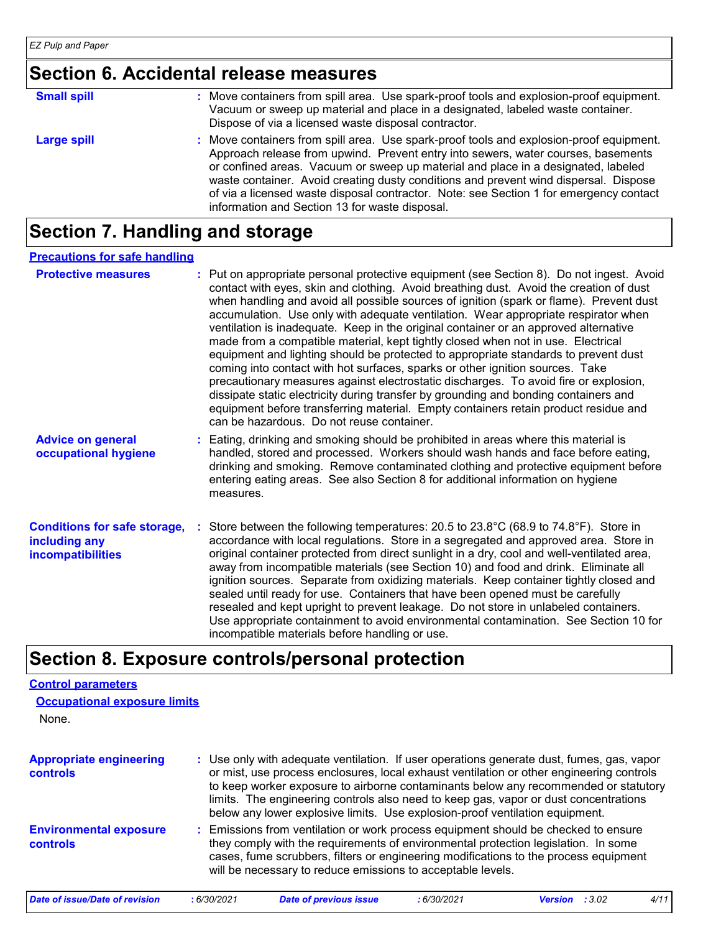### **Section 6. Accidental release measures**

| <b>Small spill</b> | Move containers from spill area. Use spark-proof tools and explosion-proof equipment.<br>Vacuum or sweep up material and place in a designated, labeled waste container.<br>Dispose of via a licensed waste disposal contractor.                                                                                                                                                                                                                                                                    |
|--------------------|-----------------------------------------------------------------------------------------------------------------------------------------------------------------------------------------------------------------------------------------------------------------------------------------------------------------------------------------------------------------------------------------------------------------------------------------------------------------------------------------------------|
| <b>Large spill</b> | Move containers from spill area. Use spark-proof tools and explosion-proof equipment.<br>Approach release from upwind. Prevent entry into sewers, water courses, basements<br>or confined areas. Vacuum or sweep up material and place in a designated, labeled<br>waste container. Avoid creating dusty conditions and prevent wind dispersal. Dispose<br>of via a licensed waste disposal contractor. Note: see Section 1 for emergency contact<br>information and Section 13 for waste disposal. |

### **Section 7. Handling and storage**

#### **Precautions for safe handling**

| <b>Protective measures</b>                                                       | : Put on appropriate personal protective equipment (see Section 8). Do not ingest. Avoid<br>contact with eyes, skin and clothing. Avoid breathing dust. Avoid the creation of dust<br>when handling and avoid all possible sources of ignition (spark or flame). Prevent dust<br>accumulation. Use only with adequate ventilation. Wear appropriate respirator when<br>ventilation is inadequate. Keep in the original container or an approved alternative<br>made from a compatible material, kept tightly closed when not in use. Electrical<br>equipment and lighting should be protected to appropriate standards to prevent dust<br>coming into contact with hot surfaces, sparks or other ignition sources. Take<br>precautionary measures against electrostatic discharges. To avoid fire or explosion,<br>dissipate static electricity during transfer by grounding and bonding containers and<br>equipment before transferring material. Empty containers retain product residue and<br>can be hazardous. Do not reuse container. |
|----------------------------------------------------------------------------------|---------------------------------------------------------------------------------------------------------------------------------------------------------------------------------------------------------------------------------------------------------------------------------------------------------------------------------------------------------------------------------------------------------------------------------------------------------------------------------------------------------------------------------------------------------------------------------------------------------------------------------------------------------------------------------------------------------------------------------------------------------------------------------------------------------------------------------------------------------------------------------------------------------------------------------------------------------------------------------------------------------------------------------------------|
| <b>Advice on general</b><br>occupational hygiene                                 | : Eating, drinking and smoking should be prohibited in areas where this material is<br>handled, stored and processed. Workers should wash hands and face before eating,<br>drinking and smoking. Remove contaminated clothing and protective equipment before<br>entering eating areas. See also Section 8 for additional information on hygiene<br>measures.                                                                                                                                                                                                                                                                                                                                                                                                                                                                                                                                                                                                                                                                               |
| <b>Conditions for safe storage,</b><br>including any<br><b>incompatibilities</b> | : Store between the following temperatures: 20.5 to 23.8°C (68.9 to 74.8°F). Store in<br>accordance with local regulations. Store in a segregated and approved area. Store in<br>original container protected from direct sunlight in a dry, cool and well-ventilated area,<br>away from incompatible materials (see Section 10) and food and drink. Eliminate all<br>ignition sources. Separate from oxidizing materials. Keep container tightly closed and<br>sealed until ready for use. Containers that have been opened must be carefully<br>resealed and kept upright to prevent leakage. Do not store in unlabeled containers.<br>Use appropriate containment to avoid environmental contamination. See Section 10 for<br>incompatible materials before handling or use.                                                                                                                                                                                                                                                             |

### **Section 8. Exposure controls/personal protection**

| <b>Control parameters</b>                  |            |                                                                                                                                                                                                                                                                                                                                                                                                                                                      |             |                       |      |
|--------------------------------------------|------------|------------------------------------------------------------------------------------------------------------------------------------------------------------------------------------------------------------------------------------------------------------------------------------------------------------------------------------------------------------------------------------------------------------------------------------------------------|-------------|-----------------------|------|
| <b>Occupational exposure limits</b>        |            |                                                                                                                                                                                                                                                                                                                                                                                                                                                      |             |                       |      |
| None.                                      |            |                                                                                                                                                                                                                                                                                                                                                                                                                                                      |             |                       |      |
| <b>Appropriate engineering</b><br>controls |            | : Use only with adequate ventilation. If user operations generate dust, fumes, gas, vapor<br>or mist, use process enclosures, local exhaust ventilation or other engineering controls<br>to keep worker exposure to airborne contaminants below any recommended or statutory<br>limits. The engineering controls also need to keep gas, vapor or dust concentrations<br>below any lower explosive limits. Use explosion-proof ventilation equipment. |             |                       |      |
| <b>Environmental exposure</b><br>controls  |            | : Emissions from ventilation or work process equipment should be checked to ensure<br>they comply with the requirements of environmental protection legislation. In some<br>cases, fume scrubbers, filters or engineering modifications to the process equipment<br>will be necessary to reduce emissions to acceptable levels.                                                                                                                      |             |                       |      |
| <b>Date of issue/Date of revision</b>      | :6/30/2021 | <b>Date of previous issue</b>                                                                                                                                                                                                                                                                                                                                                                                                                        | : 6/30/2021 | <b>Version</b> : 3.02 | 4/11 |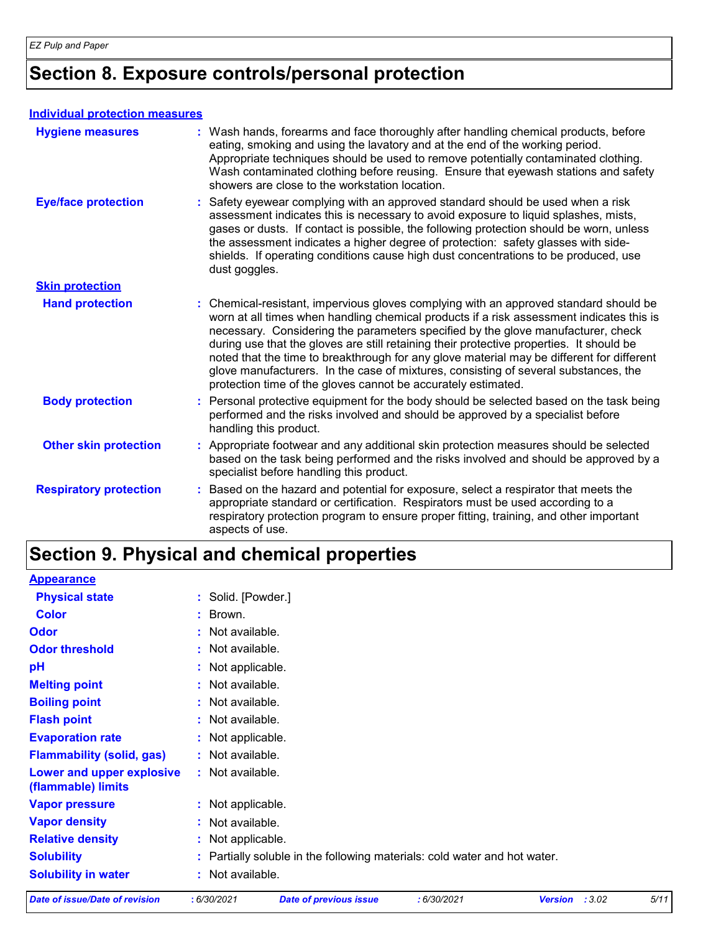# **Section 8. Exposure controls/personal protection**

#### **Individual protection measures**

| <b>Hygiene measures</b>       | : Wash hands, forearms and face thoroughly after handling chemical products, before<br>eating, smoking and using the lavatory and at the end of the working period.<br>Appropriate techniques should be used to remove potentially contaminated clothing.<br>Wash contaminated clothing before reusing. Ensure that eyewash stations and safety<br>showers are close to the workstation location.                                                                                                                                                                                                                      |
|-------------------------------|------------------------------------------------------------------------------------------------------------------------------------------------------------------------------------------------------------------------------------------------------------------------------------------------------------------------------------------------------------------------------------------------------------------------------------------------------------------------------------------------------------------------------------------------------------------------------------------------------------------------|
| <b>Eye/face protection</b>    | : Safety eyewear complying with an approved standard should be used when a risk<br>assessment indicates this is necessary to avoid exposure to liquid splashes, mists,<br>gases or dusts. If contact is possible, the following protection should be worn, unless<br>the assessment indicates a higher degree of protection: safety glasses with side-<br>shields. If operating conditions cause high dust concentrations to be produced, use<br>dust goggles.                                                                                                                                                         |
| <b>Skin protection</b>        |                                                                                                                                                                                                                                                                                                                                                                                                                                                                                                                                                                                                                        |
| <b>Hand protection</b>        | : Chemical-resistant, impervious gloves complying with an approved standard should be<br>worn at all times when handling chemical products if a risk assessment indicates this is<br>necessary. Considering the parameters specified by the glove manufacturer, check<br>during use that the gloves are still retaining their protective properties. It should be<br>noted that the time to breakthrough for any glove material may be different for different<br>glove manufacturers. In the case of mixtures, consisting of several substances, the<br>protection time of the gloves cannot be accurately estimated. |
| <b>Body protection</b>        | : Personal protective equipment for the body should be selected based on the task being<br>performed and the risks involved and should be approved by a specialist before<br>handling this product.                                                                                                                                                                                                                                                                                                                                                                                                                    |
| <b>Other skin protection</b>  | : Appropriate footwear and any additional skin protection measures should be selected<br>based on the task being performed and the risks involved and should be approved by a<br>specialist before handling this product.                                                                                                                                                                                                                                                                                                                                                                                              |
| <b>Respiratory protection</b> | : Based on the hazard and potential for exposure, select a respirator that meets the<br>appropriate standard or certification. Respirators must be used according to a<br>respiratory protection program to ensure proper fitting, training, and other important<br>aspects of use.                                                                                                                                                                                                                                                                                                                                    |

### **Section 9. Physical and chemical properties**

| <b>Date of issue/Date of revision</b>           | :6/30/2021         | <b>Date of previous issue</b>                                             | :6/30/2021 | :3.02<br><b>Version</b> | 5/11 |
|-------------------------------------------------|--------------------|---------------------------------------------------------------------------|------------|-------------------------|------|
| <b>Solubility in water</b>                      | : Not available.   |                                                                           |            |                         |      |
| <b>Solubility</b>                               |                    | : Partially soluble in the following materials: cold water and hot water. |            |                         |      |
| <b>Relative density</b>                         | : Not applicable.  |                                                                           |            |                         |      |
| <b>Vapor density</b>                            | : Not available.   |                                                                           |            |                         |      |
| <b>Vapor pressure</b>                           | : Not applicable.  |                                                                           |            |                         |      |
| Lower and upper explosive<br>(flammable) limits | : Not available.   |                                                                           |            |                         |      |
| <b>Flammability (solid, gas)</b>                | : Not available.   |                                                                           |            |                         |      |
| <b>Evaporation rate</b>                         | : Not applicable.  |                                                                           |            |                         |      |
| <b>Flash point</b>                              | : Not available.   |                                                                           |            |                         |      |
| <b>Boiling point</b>                            | : Not available.   |                                                                           |            |                         |      |
| <b>Melting point</b>                            | : Not available.   |                                                                           |            |                         |      |
| pH                                              | : Not applicable.  |                                                                           |            |                         |      |
| <b>Odor threshold</b>                           | : Not available.   |                                                                           |            |                         |      |
| <b>Odor</b>                                     | : Not available.   |                                                                           |            |                         |      |
| <b>Color</b>                                    | : Brown.           |                                                                           |            |                         |      |
| <b>Physical state</b>                           | : Solid. [Powder.] |                                                                           |            |                         |      |
| <b>Appearance</b>                               |                    |                                                                           |            |                         |      |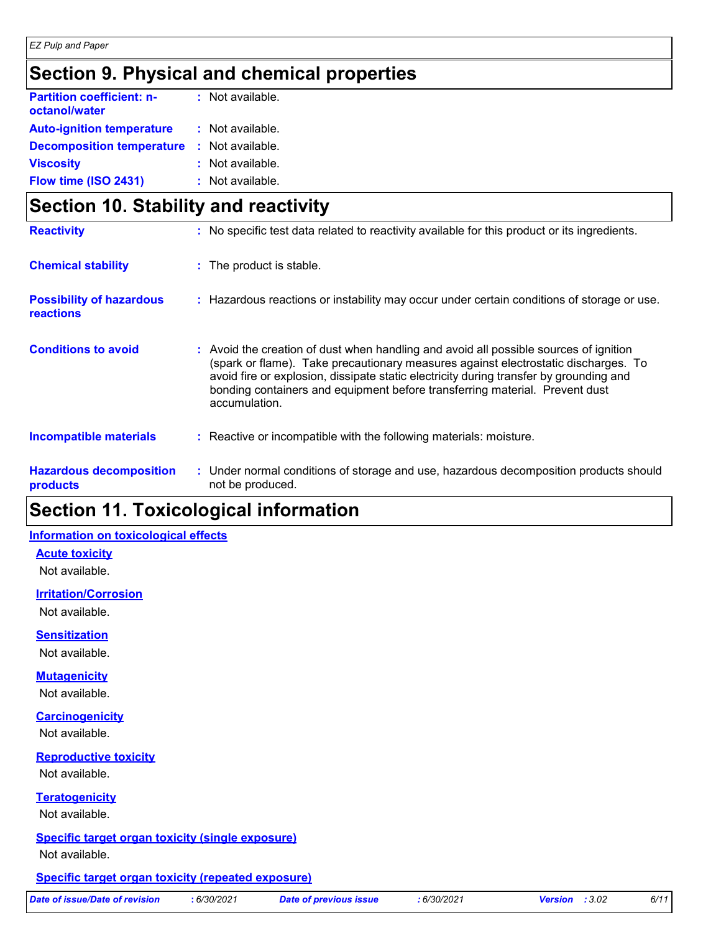## **Section 9. Physical and chemical properties**

| <b>Partition coefficient: n-</b><br>octanol/water | $:$ Not available. |
|---------------------------------------------------|--------------------|
| <b>Auto-ignition temperature</b>                  | : Not available.   |
| <b>Decomposition temperature</b>                  | : Not available.   |
| <b>Viscosity</b>                                  | : Not available.   |
| Flow time (ISO 2431)                              | : Not available.   |

|                                                     | Section 10. Stability and reactivity |                                                                                                                                                                                                                                                                                                                                                                       |  |  |
|-----------------------------------------------------|--------------------------------------|-----------------------------------------------------------------------------------------------------------------------------------------------------------------------------------------------------------------------------------------------------------------------------------------------------------------------------------------------------------------------|--|--|
| <b>Reactivity</b>                                   |                                      | : No specific test data related to reactivity available for this product or its ingredients.                                                                                                                                                                                                                                                                          |  |  |
| <b>Chemical stability</b>                           |                                      | : The product is stable.                                                                                                                                                                                                                                                                                                                                              |  |  |
| <b>Possibility of hazardous</b><br><b>reactions</b> |                                      | : Hazardous reactions or instability may occur under certain conditions of storage or use.                                                                                                                                                                                                                                                                            |  |  |
| <b>Conditions to avoid</b>                          |                                      | : Avoid the creation of dust when handling and avoid all possible sources of ignition<br>(spark or flame). Take precautionary measures against electrostatic discharges. To<br>avoid fire or explosion, dissipate static electricity during transfer by grounding and<br>bonding containers and equipment before transferring material. Prevent dust<br>accumulation. |  |  |
| <b>Incompatible materials</b>                       |                                      | : Reactive or incompatible with the following materials: moisture.                                                                                                                                                                                                                                                                                                    |  |  |
| <b>Hazardous decomposition</b><br>products          |                                      | : Under normal conditions of storage and use, hazardous decomposition products should<br>not be produced.                                                                                                                                                                                                                                                             |  |  |

### **Section 11. Toxicological information**

#### **Information on toxicological effects**

**Acute toxicity**

Not available.

#### **Irritation/Corrosion**

Not available.

**Sensitization**

Not available.

#### **Mutagenicity**

Not available.

#### **Carcinogenicity**

Not available.

#### **Reproductive toxicity**

Not available.

#### **Teratogenicity**

Not available.

# **Specific target organ toxicity (single exposure)**

Not available.

#### **Specific target organ toxicity (repeated exposure)**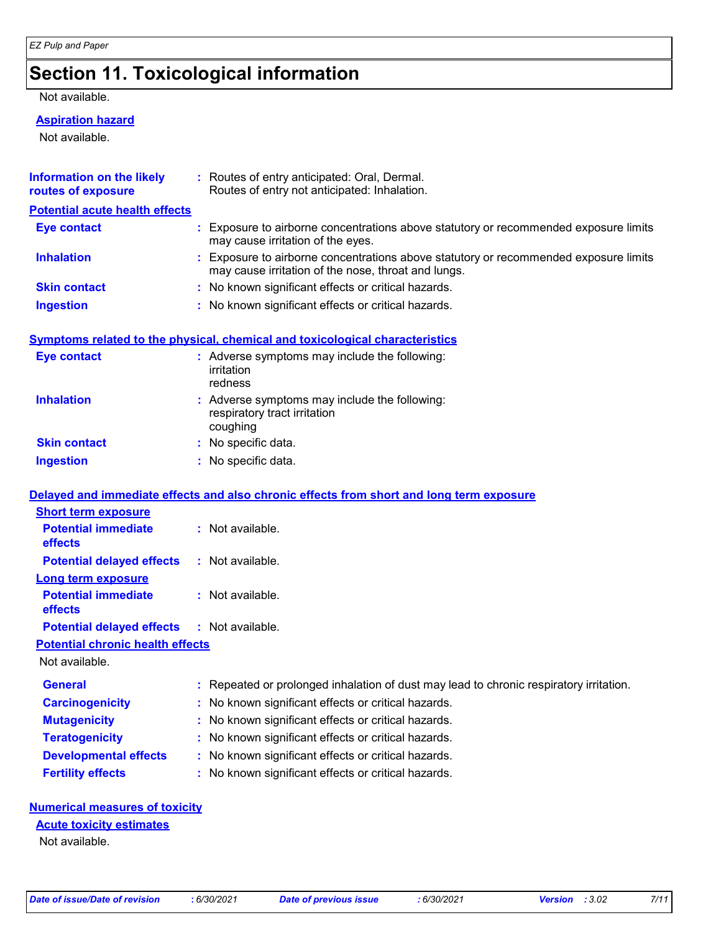## **Section 11. Toxicological information**

Not available.

#### **Aspiration hazard**

Not available.

| <b>Information on the likely</b><br>routes of exposure    | : Routes of entry anticipated: Oral, Dermal.<br>Routes of entry not anticipated: Inhalation.                                                |
|-----------------------------------------------------------|---------------------------------------------------------------------------------------------------------------------------------------------|
| <b>Potential acute health effects</b>                     |                                                                                                                                             |
| <b>Eye contact</b>                                        | Exposure to airborne concentrations above statutory or recommended exposure limits<br>may cause irritation of the eyes.                     |
| <b>Inhalation</b>                                         | : Exposure to airborne concentrations above statutory or recommended exposure limits<br>may cause irritation of the nose, throat and lungs. |
| <b>Skin contact</b>                                       | : No known significant effects or critical hazards.                                                                                         |
| <b>Ingestion</b>                                          | : No known significant effects or critical hazards.                                                                                         |
|                                                           | <b>Symptoms related to the physical, chemical and toxicological characteristics</b>                                                         |
| <b>Eye contact</b>                                        | : Adverse symptoms may include the following:<br>irritation<br>redness                                                                      |
| <b>Inhalation</b>                                         | : Adverse symptoms may include the following:<br>respiratory tract irritation<br>coughing                                                   |
| <b>Skin contact</b>                                       | : No specific data.                                                                                                                         |
| <b>Ingestion</b>                                          | : No specific data.                                                                                                                         |
|                                                           | Delayed and immediate effects and also chronic effects from short and long term exposure                                                    |
| <b>Short term exposure</b>                                |                                                                                                                                             |
| <b>Potential immediate</b><br>effects                     | : Not available.                                                                                                                            |
| <b>Potential delayed effects</b>                          | : Not available.                                                                                                                            |
| <b>Long term exposure</b>                                 |                                                                                                                                             |
| <b>Potential immediate</b><br>effects                     | : Not available.                                                                                                                            |
| <b>Potential delayed effects</b>                          | : Not available.                                                                                                                            |
| <b>Potential chronic health effects</b><br>Not available. |                                                                                                                                             |
| General                                                   | : Repeated or prolonged inhalation of dust may lead to chronic respiratory irritation.                                                      |
| <b>Carcinogenicity</b>                                    | : No known significant effects or critical hazards.                                                                                         |
| <b>Mutagenicity</b>                                       | No known significant effects or critical hazards.                                                                                           |
| <b>Teratogenicity</b>                                     | : No known significant effects or critical hazards.                                                                                         |
| <b>Developmental effects</b>                              | : No known significant effects or critical hazards.                                                                                         |
| <b>Fertility effects</b>                                  | : No known significant effects or critical hazards.                                                                                         |
| <b>Numerical measures of toxicity</b>                     |                                                                                                                                             |

### **Acute toxicity estimates**

Not available.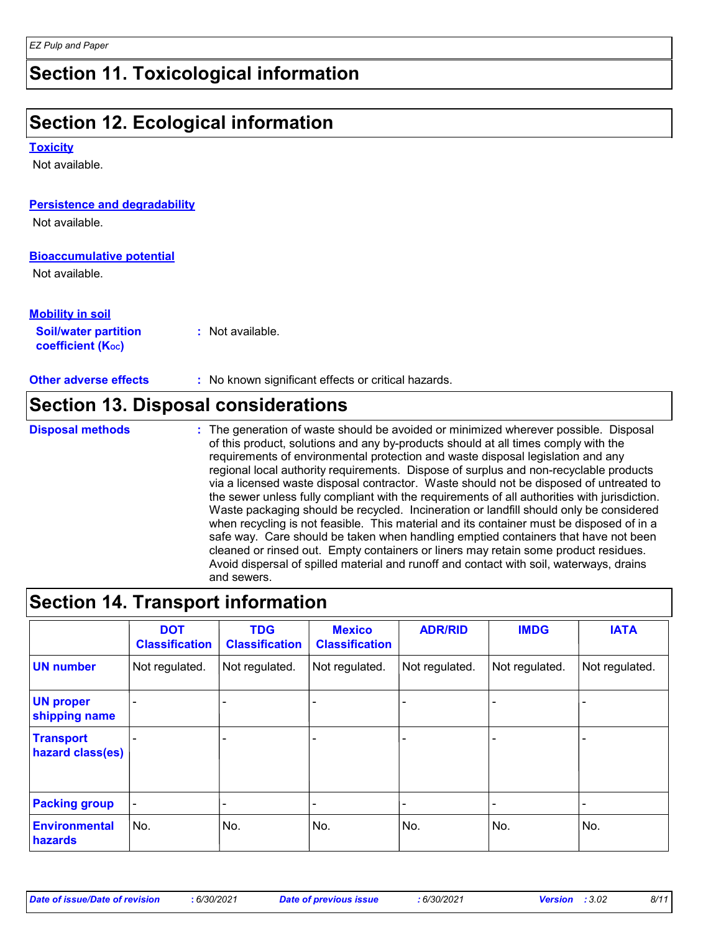### **Section 11. Toxicological information**

## **Section 12. Ecological information**

**Toxicity**

Not available.

| <b>Persistence and degradability</b>                  |                                                                                      |
|-------------------------------------------------------|--------------------------------------------------------------------------------------|
| Not available.                                        |                                                                                      |
| <b>Bioaccumulative potential</b>                      |                                                                                      |
| Not available.                                        |                                                                                      |
| <b>Mobility in soil</b>                               |                                                                                      |
| <b>Soil/water partition</b><br>coefficient $(K_{oc})$ | $:$ Not available.                                                                   |
| <b>Other adverse effects</b>                          | : No known significant effects or critical hazards.                                  |
|                                                       | <b>Section 13. Disposal considerations</b>                                           |
| <b>Disposal methods</b>                               | : The generation of waste should be avoided or minimized wherever possible. Disposal |

The generation of waste should be avoided or minimized wherever possible. Disposal of this product, solutions and any by-products should at all times comply with the requirements of environmental protection and waste disposal legislation and any regional local authority requirements. Dispose of surplus and non-recyclable products via a licensed waste disposal contractor. Waste should not be disposed of untreated to the sewer unless fully compliant with the requirements of all authorities with jurisdiction. Waste packaging should be recycled. Incineration or landfill should only be considered when recycling is not feasible. This material and its container must be disposed of in a safe way. Care should be taken when handling emptied containers that have not been cleaned or rinsed out. Empty containers or liners may retain some product residues. Avoid dispersal of spilled material and runoff and contact with soil, waterways, drains and sewers.

### **Section 14. Transport information**

|                                      | <b>DOT</b><br><b>Classification</b> | <b>TDG</b><br><b>Classification</b> | <b>Mexico</b><br><b>Classification</b> | <b>ADR/RID</b> | <b>IMDG</b>              | <b>IATA</b>    |
|--------------------------------------|-------------------------------------|-------------------------------------|----------------------------------------|----------------|--------------------------|----------------|
| <b>UN</b> number                     | Not regulated.                      | Not regulated.                      | Not regulated.                         | Not regulated. | Not regulated.           | Not regulated. |
| <b>UN proper</b><br>shipping name    |                                     |                                     |                                        |                |                          |                |
| <b>Transport</b><br>hazard class(es) |                                     |                                     |                                        |                |                          |                |
| <b>Packing group</b>                 | $\overline{\phantom{a}}$            | $\overline{\phantom{0}}$            | -                                      | -              | $\overline{\phantom{a}}$ | -              |
| <b>Environmental</b><br>hazards      | No.                                 | No.                                 | No.                                    | No.            | No.                      | No.            |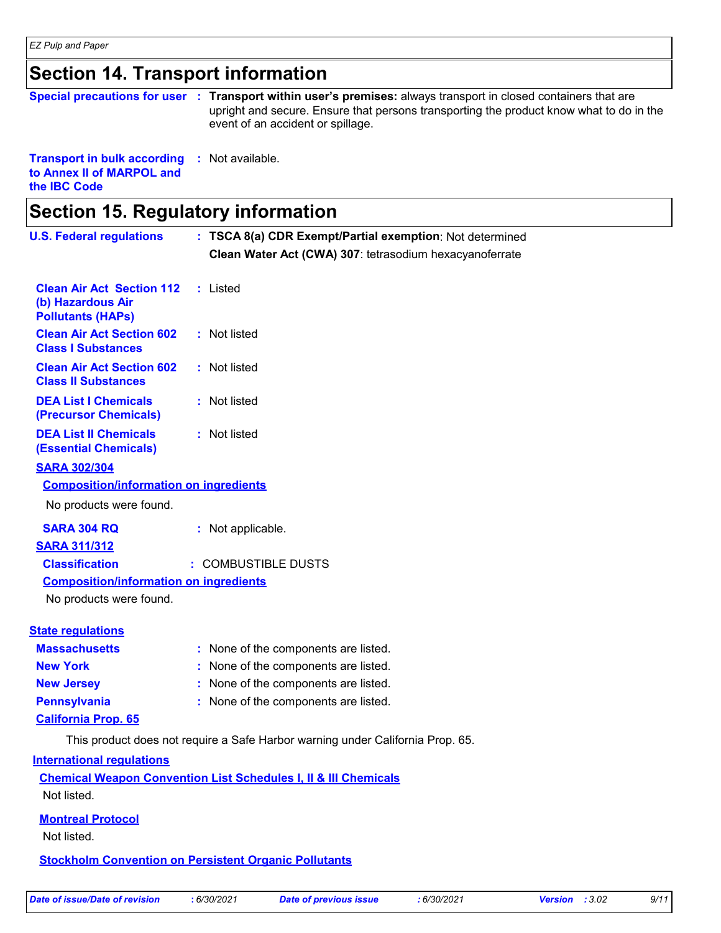### **Section 14. Transport information**

### **Special precautions for user** : Transport within user's premises: always transport in closed containers that are upright and secure. Ensure that persons transporting the product know what to do in the event of an accident or spillage.

**Transport in bulk according :** Not available. **to Annex II of MARPOL and the IBC Code**

| <b>Section 15. Regulatory information</b>                                         |                                                                                |  |
|-----------------------------------------------------------------------------------|--------------------------------------------------------------------------------|--|
| <b>U.S. Federal regulations</b>                                                   | : TSCA 8(a) CDR Exempt/Partial exemption: Not determined                       |  |
|                                                                                   | Clean Water Act (CWA) 307: tetrasodium hexacyanoferrate                        |  |
| <b>Clean Air Act Section 112</b><br>(b) Hazardous Air<br><b>Pollutants (HAPs)</b> | : Listed                                                                       |  |
| <b>Clean Air Act Section 602</b><br><b>Class I Substances</b>                     | : Not listed                                                                   |  |
| <b>Clean Air Act Section 602</b><br><b>Class II Substances</b>                    | : Not listed                                                                   |  |
| <b>DEA List I Chemicals</b><br>(Precursor Chemicals)                              | : Not listed                                                                   |  |
| <b>DEA List II Chemicals</b><br><b>(Essential Chemicals)</b>                      | : Not listed                                                                   |  |
| <b>SARA 302/304</b>                                                               |                                                                                |  |
| <b>Composition/information on ingredients</b>                                     |                                                                                |  |
| No products were found.                                                           |                                                                                |  |
| <b>SARA 304 RQ</b>                                                                | : Not applicable.                                                              |  |
| <b>SARA 311/312</b>                                                               |                                                                                |  |
| <b>Classification</b>                                                             | : COMBUSTIBLE DUSTS                                                            |  |
| <b>Composition/information on ingredients</b>                                     |                                                                                |  |
| No products were found.                                                           |                                                                                |  |
| <b>State regulations</b>                                                          |                                                                                |  |
| <b>Massachusetts</b>                                                              | : None of the components are listed.                                           |  |
| <b>New York</b>                                                                   | : None of the components are listed.                                           |  |
| <b>New Jersey</b>                                                                 | : None of the components are listed.                                           |  |
| <b>Pennsylvania</b>                                                               | : None of the components are listed.                                           |  |
| <b>California Prop. 65</b>                                                        |                                                                                |  |
|                                                                                   | This product does not require a Safe Harbor warning under California Prop. 65. |  |
| <b>International regulations</b>                                                  |                                                                                |  |
| Not listed.                                                                       | <b>Chemical Weapon Convention List Schedules I, II &amp; III Chemicals</b>     |  |
| <b>Montreal Protocol</b><br>Not listed.                                           |                                                                                |  |
|                                                                                   | <b>Stockholm Convention on Persistent Organic Pollutants</b>                   |  |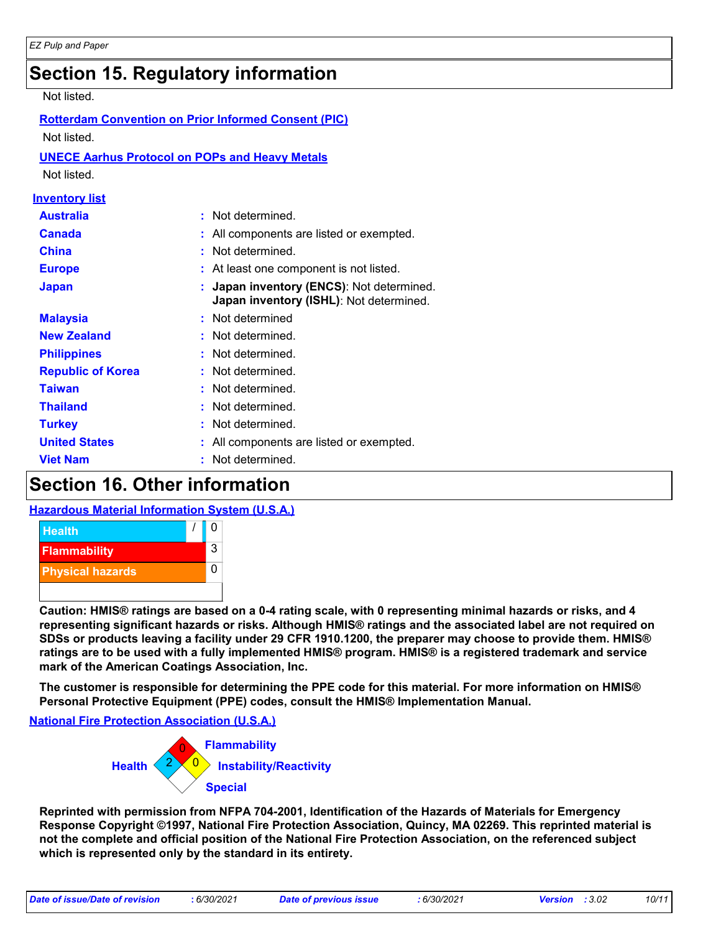### **Section 15. Regulatory information**

#### Not listed.

| <b>Rotterdam Convention on Prior Informed Consent (PIC)</b><br>Not listed.<br><b>UNECE Aarhus Protocol on POPs and Heavy Metals</b><br>Not listed. |                                                                                    |  |  |  |
|----------------------------------------------------------------------------------------------------------------------------------------------------|------------------------------------------------------------------------------------|--|--|--|
| <u>Inventory list</u>                                                                                                                              |                                                                                    |  |  |  |
| <b>Australia</b>                                                                                                                                   | Not determined.<br>÷                                                               |  |  |  |
| Canada                                                                                                                                             | All components are listed or exempted.                                             |  |  |  |
| <b>China</b>                                                                                                                                       | Not determined.                                                                    |  |  |  |
| <b>Europe</b>                                                                                                                                      | At least one component is not listed.                                              |  |  |  |
| <b>Japan</b>                                                                                                                                       | Japan inventory (ENCS): Not determined.<br>Japan inventory (ISHL): Not determined. |  |  |  |
| <b>Malaysia</b>                                                                                                                                    | Not determined                                                                     |  |  |  |
| <b>New Zealand</b>                                                                                                                                 | Not determined.                                                                    |  |  |  |
| <b>Philippines</b>                                                                                                                                 | Not determined.                                                                    |  |  |  |
| <b>Republic of Korea</b>                                                                                                                           | Not determined.                                                                    |  |  |  |
| <b>Taiwan</b>                                                                                                                                      | Not determined.                                                                    |  |  |  |
| <b>Thailand</b>                                                                                                                                    | Not determined.                                                                    |  |  |  |
| <b>Turkey</b>                                                                                                                                      | Not determined.                                                                    |  |  |  |
| <b>United States</b>                                                                                                                               | All components are listed or exempted.                                             |  |  |  |
| <b>Viet Nam</b>                                                                                                                                    | Not determined.                                                                    |  |  |  |

## **Section 16. Other information**

#### **Hazardous Material Information System (U.S.A.)**



**Caution: HMIS® ratings are based on a 0-4 rating scale, with 0 representing minimal hazards or risks, and 4 representing significant hazards or risks. Although HMIS® ratings and the associated label are not required on SDSs or products leaving a facility under 29 CFR 1910.1200, the preparer may choose to provide them. HMIS® ratings are to be used with a fully implemented HMIS® program. HMIS® is a registered trademark and service mark of the American Coatings Association, Inc.**

**The customer is responsible for determining the PPE code for this material. For more information on HMIS® Personal Protective Equipment (PPE) codes, consult the HMIS® Implementation Manual.**

**National Fire Protection Association (U.S.A.)**



**Reprinted with permission from NFPA 704-2001, Identification of the Hazards of Materials for Emergency Response Copyright ©1997, National Fire Protection Association, Quincy, MA 02269. This reprinted material is not the complete and official position of the National Fire Protection Association, on the referenced subject which is represented only by the standard in its entirety.**